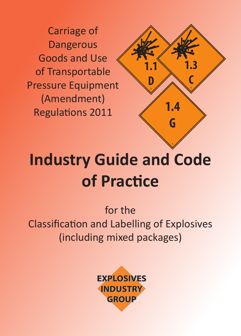Carriage of Dangerous Goods and Use of Transportable Pressure Equipment (Amendment) Regulations 2011



# **Industry Guide and Code of Practice**

for the Classification and Labelling of Explosives (including mixed packages)

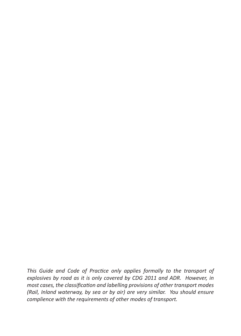*This Guide and Code of Practice only applies formally to the transport of explosives by road as it is only covered by CDG 2011 and ADR. However, in most cases, the classification and labelling provisions of other transport modes (Rail, Inland waterway, by sea or by air) are very similar. You should ensure complience with the requirements of other modes of transport.*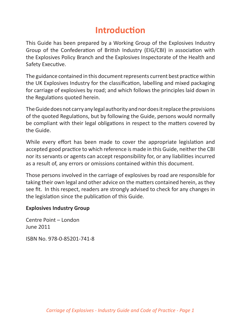## **Introduction**

This Guide has been prepared by a Working Group of the Explosives Industry Group of the Confederation of British Industry (EIG/CBI) in association with the Explosives Policy Branch and the Explosives Inspectorate of the Health and Safety Executive.

The guidance contained in this document represents current best practice within the UK Explosives Industry for the classification, labelling and mixed packaging for carriage of explosives by road; and which follows the principles laid down in the Regulations quoted herein.

The Guide does not carry any legal authority and nor does it replace the provisions of the quoted Regulations, but by following the Guide, persons would normally be compliant with their legal obligations in respect to the matters covered by the Guide.

While every effort has been made to cover the appropriate legislation and accepted good practice to which reference is made in this Guide, neither the CBI nor its servants or agents can accept responsibility for, or any liabilities incurred as a result of, any errors or omissions contained within this document.

Those persons involved in the carriage of explosives by road are responsible for taking their own legal and other advice on the matters contained herein, as they see fit. In this respect, readers are strongly advised to check for any changes in the legislation since the publication of this Guide.

#### **Explosives Industry Group**

Centre Point – London June 2011

ISBN No. 978-0-85201-741-8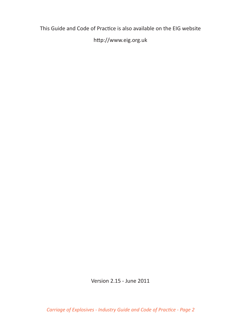This Guide and Code of Practice is also available on the EIG website

http://www.eig.org.uk

Version 2.15 - June 2011

*Carriage of Explosives - Industry Guide and Code of Practice - Page 2*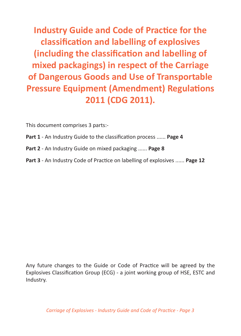**Industry Guide and Code of Practice for the classification and labelling of explosives (including the classification and labelling of mixed packagings) in respect of the Carriage of Dangerous Goods and Use of Transportable Pressure Equipment (Amendment) Regulations 2011 (CDG 2011).**

This document comprises 3 parts:-

- **Part 1**  An Industry Guide to the classification process ...... **Page 4**
- **Part 2** An Industry Guide on mixed packaging ...... **Page 8**
- **Part 3** An Industry Code of Practice on labelling of explosives ...... **Page 12**

Any future changes to the Guide or Code of Practice will be agreed by the Explosives Classification Group (ECG) - a joint working group of HSE, ESTC and Industry.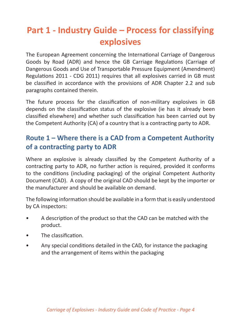# **Part 1 - Industry Guide – Process for classifying explosives**

The European Agreement concerning the International Carriage of Dangerous Goods by Road (ADR) and hence the GB Carriage Regulations (Carriage of Dangerous Goods and Use of Transportable Pressure Equipment (Amendment) Regulations 2011 - CDG 2011) requires that all explosives carried in GB must be classified in accordance with the provisions of ADR Chapter 2.2 and sub paragraphs contained therein.

The future process for the classification of non-military explosives in GB depends on the classification status of the explosive (ie has it already been classified elsewhere) and whether such classification has been carried out by the Competent Authority (CA) of a country that is a contracting party to ADR.

## **Route 1 – Where there is a CAD from a Competent Authority of a contracting party to ADR**

Where an explosive is already classified by the Competent Authority of a contracting party to ADR, no further action is required, provided it conforms to the conditions (including packaging) of the original Competent Authority Document (CAD). A copy of the original CAD should be kept by the importer or the manufacturer and should be available on demand.

The following information should be available in a form that is easily understood by CA inspectors:

- A description of the product so that the CAD can be matched with the product.
- The classification.
- Any special conditions detailed in the CAD, for instance the packaging and the arrangement of items within the packaging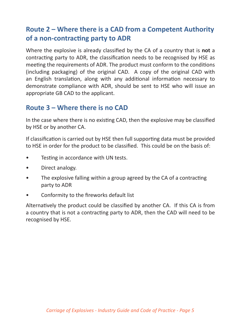## **Route 2 – Where there is a CAD from a Competent Authority of a non-contracting party to ADR**

Where the explosive is already classified by the CA of a country that is **not** a contracting party to ADR, the classification needs to be recognised by HSE as meeting the requirements of ADR. The product must conform to the conditions (including packaging) of the original CAD. A copy of the original CAD with an English translation, along with any additional information necessary to demonstrate compliance with ADR, should be sent to HSE who will issue an appropriate GB CAD to the applicant.

#### **Route 3 – Where there is no CAD**

In the case where there is no existing CAD, then the explosive may be classified by HSE or by another CA.

If classification is carried out by HSE then full supporting data must be provided to HSE in order for the product to be classified. This could be on the basis of:

- Testing in accordance with UN tests.
- Direct analogy.
- The explosive falling within a group agreed by the CA of a contracting party to ADR
- Conformity to the fireworks default list

Alternatively the product could be classified by another CA. If this CA is from a country that is not a contracting party to ADR, then the CAD will need to be recognised by HSE.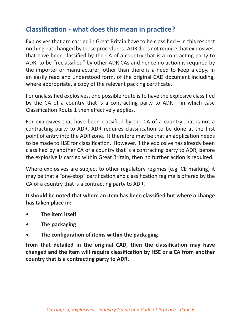#### **Classification - what does this mean in practice?**

Explosives that are carried in Great Britain have to be classified – in this respect nothing has changed by these procedures. ADR does not require that explosives, that have been classified by the CA of a country that is a contracting party to ADR, to be "reclassified" by other ADR CAs and hence no action is required by the importer or manufacturer; other than there is a need to keep a copy, in an easily read and understood form, of the original CAD document including, where appropriate, a copy of the relevant packing certificate.

For unclassified explosives, one possible route is to have the explosive classified by the CA of a country that is a contracting party to ADR – in which case Classification Route 1 then effectively applies.

For explosives that have been classified by the CA of a country that is not a contracting party to ADR, ADR requires classification to be done at the first point of entry into the ADR zone. It therefore may be that an application needs to be made to HSE for classification. However, if the explosive has already been classified by another CA of a country that is a contracting party to ADR, before the explosive is carried within Great Britain, then no further action is required.

Where explosives are subject to other regulatory regimes (e.g. CE marking) it may be that a "one-stop" certification and classification regime is offered by the CA of a country that is a contracting party to ADR.

I**t should be noted that where an item has been classified but where a change has taken place in:**

- **• The item itself**
- **• The packaging**
- **• The configuration of items within the packaging**

**from that detailed in the original CAD, then the classification may have changed and the item will require classification by HSE or a CA from another country that is a contracting party to ADR.**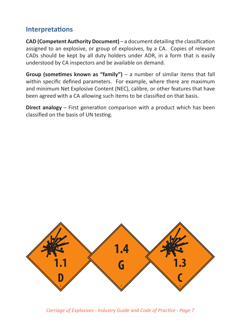#### **Interpretations**

**CAD (Competent Authority Document)** – a document detailing the classification assigned to an explosive, or group of explosives, by a CA. Copies of relevant CADs should be kept by all duty holders under ADR, in a form that is easily understood by CA inspectors and be available on demand.

**Group (sometimes known as "family")** – a number of similar items that fall within specific defined parameters. For example, where there are maximum and minimum Net Explosive Content (NEC), calibre, or other features that have been agreed with a CA allowing such items to be classified on that basis.

**Direct analogy** – First generation comparison with a product which has been classified on the basis of UN testing.



*Carriage of Explosives - Industry Guide and Code of Practice - Page 7*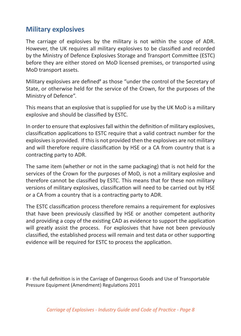#### **Military explosives**

The carriage of explosives by the military is not within the scope of ADR. However, the UK requires all military explosives to be classified and recorded by the Ministry of Defence Explosives Storage and Transport Committee (ESTC) before they are either stored on MoD licensed premises, or transported using MoD transport assets.

Military explosives are defined<sup>#</sup> as those "under the control of the Secretary of State, or otherwise held for the service of the Crown, for the purposes of the Ministry of Defence".

This means that an explosive that is supplied for use by the UK MoD is a military explosive and should be classified by ESTC.

In order to ensure that explosives fall within the definition of military explosives, classification applications to ESTC require that a valid contract number for the explosives is provided. If this is not provided then the explosives are not military and will therefore require classification by HSE or a CA from country that is a contracting party to ADR.

The same item (whether or not in the same packaging) that is not held for the services of the Crown for the purposes of MoD, is not a military explosive and therefore cannot be classified by ESTC. This means that for these non military versions of military explosives, classification will need to be carried out by HSE or a CA from a country that is a contracting party to ADR.

The ESTC classification process therefore remains a requirement for explosives that have been previously classified by HSE or another competent authority and providing a copy of the existing CAD as evidence to support the application will greatly assist the process. For explosives that have not been previously classified, the established process will remain and test data or other supporting evidence will be required for ESTC to process the application.

# - the full definition is in the Carriage of Dangerous Goods and Use of Transportable Pressure Equipment (Amendment) Regulations 2011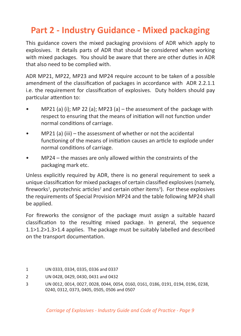## **Part 2 - Industry Guidance - Mixed packaging**

This guidance covers the mixed packaging provisions of ADR which apply to explosives. It details parts of ADR that should be considered when working with mixed packages. You should be aware that there are other duties in ADR that also need to be complied with.

ADR MP21, MP22, MP23 and MP24 require account to be taken of a possible amendment of the classification of packages in accordance with ADR 2.2.1.1 i.e. the requirement for classification of explosives. Duty holders should pay particular attention to:

- MP21 (a) (i); MP 22 (a); MP23 (a) the assessment of the package with respect to ensuring that the means of initiation will not function under normal conditions of carriage.
- MP21 (a) (iii) the assessment of whether or not the accidental functioning of the means of initiation causes an article to explode under normal conditions of carriage.
- MP24 the masses are only allowed within the constraints of the packaging mark etc.

Unless explicitly required by ADR, there is no general requirement to seek a unique classification for mixed packages of certain classified explosives (namely, fireworks<sup>1</sup>, pyrotechnic articles<sup>2</sup> and certain other items<sup>3</sup>). For these explosives the requirements of Special Provision MP24 and the table following MP24 shall be applied.

For fireworks the consignor of the package must assign a suitable hazard classification to the resulting mixed package. In general, the sequence 1.1>1.2>1.3>1.4 applies. The package must be suitably labelled and described on the transport documentation.

- 1 UN 0333, 0334, 0335, 0336 and 0337
- 2 UN 0428, 0429, 0430, 0431 and 0432
- 3 UN 0012, 0014, 0027, 0028, 0044, 0054, 0160, 0161, 0186, 0191, 0194, 0196, 0238, 0240, 0312, 0373, 0405, 0505, 0506 and 0507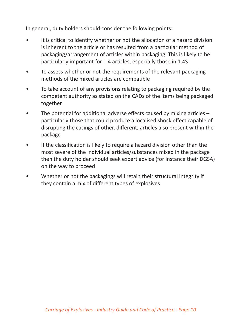In general, duty holders should consider the following points:

- It is critical to identify whether or not the allocation of a hazard division is inherent to the article or has resulted from a particular method of packaging/arrangement of articles within packaging. This is likely to be particularly important for 1.4 articles, especially those in 1.4S
- To assess whether or not the requirements of the relevant packaging methods of the mixed articles are compatible
- To take account of any provisions relating to packaging required by the competent authority as stated on the CADs of the items being packaged together
- The potential for additional adverse effects caused by mixing articles  $$ particularly those that could produce a localised shock effect capable of disrupting the casings of other, different, articles also present within the package
- If the classification is likely to require a hazard division other than the most severe of the individual articles/substances mixed in the package then the duty holder should seek expert advice (for instance their DGSA) on the way to proceed
- Whether or not the packagings will retain their structural integrity if they contain a mix of different types of explosives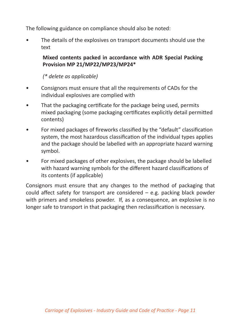The following guidance on compliance should also be noted:

The details of the explosives on transport documents should use the text

#### **Mixed contents packed in accordance with ADR Special Packing Provision MP 21/MP22/MP23/MP24\***

*(\* delete as applicable)*

- Consignors must ensure that all the requirements of CADs for the individual explosives are complied with
- That the packaging certificate for the package being used, permits mixed packaging (some packaging certificates explicitly detail permitted contents)
- For mixed packages of fireworks classified by the "default" classification system, the most hazardous classification of the individual types applies and the package should be labelled with an appropriate hazard warning symbol.
- For mixed packages of other explosives, the package should be labelled with hazard warning symbols for the different hazard classifications of its contents (if applicable)

Consignors must ensure that any changes to the method of packaging that could affect safety for transport are considered  $-$  e.g. packing black powder with primers and smokeless powder. If, as a consequence, an explosive is no longer safe to transport in that packaging then reclassification is necessary.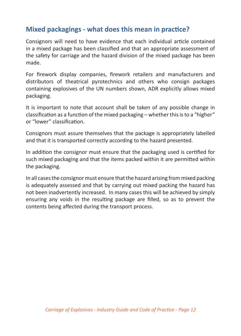#### **Mixed packagings - what does this mean in practice?**

Consignors will need to have evidence that each individual article contained in a mixed package has been classified and that an appropriate assessment of the safety for carriage and the hazard division of the mixed package has been made.

For firework display companies, firework retailers and manufacturers and distributors of theatrical pyrotechnics and others who consign packages containing explosives of the UN numbers shown, ADR explicitly allows mixed packaging.

It is important to note that account shall be taken of any possible change in classification as a function of the mixed packaging – whether this is to a "higher" or "lower" classification.

Consignors must assure themselves that the package is appropriately labelled and that it is transported correctly according to the hazard presented.

In addition the consignor must ensure that the packaging used is certified for such mixed packaging and that the items packed within it are permitted within the packaging.

In all cases the consignor must ensure that the hazard arising from mixed packing is adequately assessed and that by carrying out mixed packing the hazard has not been inadvertently increased. In many cases this will be achieved by simply ensuring any voids in the resulting package are filled, so as to prevent the contents being affected during the transport process.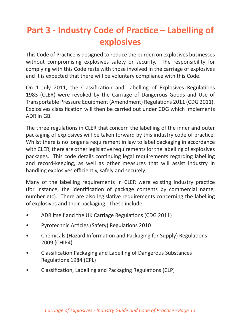# **Part 3 - Industry Code of Practice – Labelling of explosives**

This Code of Practice is designed to reduce the burden on explosives businesses without compromising explosives safety or security. The responsibility for complying with this Code rests with those involved in the carriage of explosives and it is expected that there will be voluntary compliance with this Code.

On 1 July 2011, the Classification and Labelling of Explosives Regulations 1983 (CLER) were revoked by the Carriage of Dangerous Goods and Use of Transportable Pressure Equipment (Amendment) Regulations 2011 (CDG 2011). Explosives classification will then be carried out under CDG which implements ADR in GB.

The three regulations in CLER that concern the labelling of the inner and outer packaging of explosives will be taken forward by this industry code of practice. Whilst there is no longer a requirement in law to label packaging in accordance with CLER, there are other legislative requirements for the labelling of explosives packages. This code details continuing legal requirements regarding labelling and record-keeping, as well as other measures that will assist industry in handling explosives efficiently, safely and securely.

Many of the labelling requirements in CLER were existing industry practice (for instance, the identification of package contents by commercial name, number etc). There are also legislative requirements concerning the labelling of explosives and their packaging. These include:

- ADR itself and the UK Carriage Regulations (CDG 2011)
- Pyrotechnic Articles (Safety) Regulations 2010
- Chemicals (Hazard Information and Packaging for Supply) Regulations 2009 (CHIP4)
- Classification Packaging and Labelling of Dangerous Substances Regulations 1984 (CPL)
- Classification, Labelling and Packaging Regulations (CLP)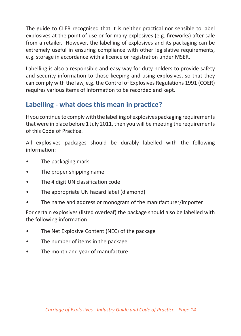The guide to CLER recognised that it is neither practical nor sensible to label explosives at the point of use or for many explosives (e.g. fireworks) after sale from a retailer. However, the labelling of explosives and its packaging can be extremely useful in ensuring compliance with other legislative requirements, e.g. storage in accordance with a licence or registration under MSER.

Labelling is also a responsible and easy way for duty holders to provide safety and security information to those keeping and using explosives, so that they can comply with the law, e.g. the Control of Explosives Regulations 1991 (COER) requires various items of information to be recorded and kept.

### **Labelling - what does this mean in practice?**

If you continue to comply with the labelling of explosives packaging requirements that were in place before 1 July 2011, then you will be meeting the requirements of this Code of Practice.

All explosives packages should be durably labelled with the following information:

- The packaging mark
- The proper shipping name
- The 4 digit UN classification code
- The appropriate UN hazard label (diamond)
- The name and address or monogram of the manufacturer/importer

For certain explosives (listed overleaf) the package should also be labelled with the following information

- The Net Explosive Content (NEC) of the package
- The number of items in the package
- The month and year of manufacture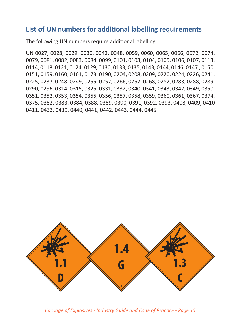#### **List of UN numbers for additional labelling requirements**

The following UN numbers require additional labelling

UN 0027, 0028, 0029, 0030, 0042, 0048, 0059, 0060, 0065, 0066, 0072, 0074, 0079, 0081, 0082, 0083, 0084, 0099, 0101, 0103, 0104, 0105, 0106, 0107, 0113, 0114, 0118, 0121, 0124, 0129, 0130, 0133, 0135, 0143, 0144, 0146, 0147 , 0150, 0151, 0159, 0160, 0161, 0173, 0190, 0204, 0208, 0209, 0220, 0224, 0226, 0241, 0225, 0237, 0248, 0249, 0255, 0257, 0266, 0267, 0268, 0282, 0283, 0288, 0289, 0290, 0296, 0314, 0315, 0325, 0331, 0332, 0340, 0341, 0343, 0342, 0349, 0350, 0351, 0352, 0353, 0354, 0355, 0356, 0357, 0358, 0359, 0360, 0361, 0367, 0374, 0375, 0382, 0383, 0384, 0388, 0389, 0390, 0391, 0392, 0393, 0408, 0409, 0410 0411, 0433, 0439, 0440, 0441, 0442, 0443, 0444, 0445



*Carriage of Explosives - Industry Guide and Code of Practice - Page 15*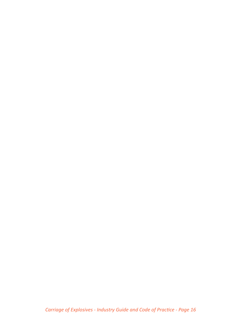*Carriage of Explosives - Industry Guide and Code of Practice - Page 16*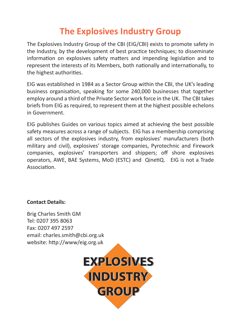## **The Explosives Industry Group**

The Explosives Industry Group of the CBI (EIG/CBI) exists to promote safety in the Industry, by the development of best practice techniques; to disseminate information on explosives safety matters and impending legislation and to represent the interests of its Members, both nationally and internationally, to the highest authorities.

EIG was established in 1984 as a Sector Group within the CBI, the UK's leading business organisation, speaking for some 240,000 businesses that together employ around a third of the Private Sector work force in the UK. The CBI takes briefs from EIG as required, to represent them at the highest possible echelons in Government.

EIG publishes Guides on various topics aimed at achieving the best possible safety measures across a range of subjects. EIG has a membership comprising all sectors of the explosives industry, from explosives' manufacturers (both military and civil), explosives' storage companies, Pyrotechnic and Firework companies, explosives' transporters and shippers; off shore explosives operators, AWE, BAE Systems, MoD (ESTC) and QinetiQ. EIG is not a Trade Association.

#### **Contact Details:**

Brig Charles Smith GM Tel: 0207 395 8063 Fax: 0207 497 2597 email: charles.smith@cbi.org.uk website: http://www/eig.org.uk